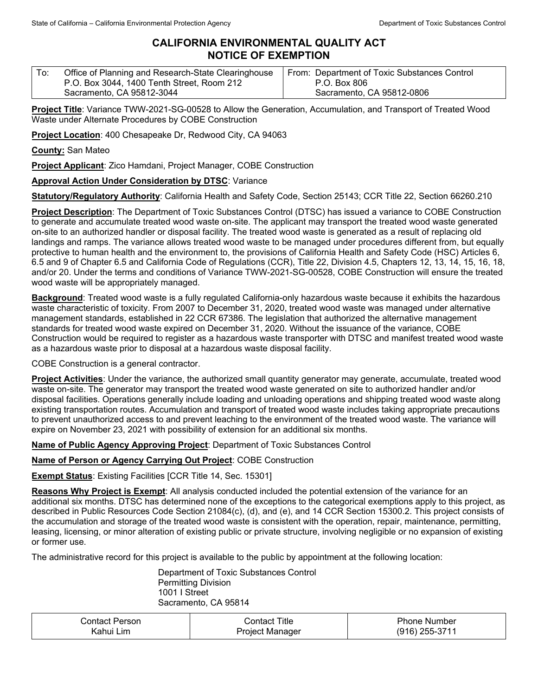## **CALIFORNIA ENVIRONMENTAL QUALITY ACT NOTICE OF EXEMPTION**

| To: | Office of Planning and Research-State Clearinghouse | From: Department of Toxic Substances Control |
|-----|-----------------------------------------------------|----------------------------------------------|
|     | P.O. Box 3044, 1400 Tenth Street, Room 212          | P.O. Box 806                                 |
|     | Sacramento, CA 95812-3044                           | Sacramento, CA 95812-0806                    |

**Project Title**: Variance TWW-2021-SG-00528 to Allow the Generation, Accumulation, and Transport of Treated Wood Waste under Alternate Procedures by COBE Construction

**Project Location**: 400 Chesapeake Dr, Redwood City, CA 94063

**County:** San Mateo

**Project Applicant**: Zico Hamdani, Project Manager, COBE Construction

## **Approval Action Under Consideration by DTSC**: Variance

**Statutory/Regulatory Authority**: California Health and Safety Code, Section 25143; CCR Title 22, Section 66260.210

**Project Description**: The Department of Toxic Substances Control (DTSC) has issued a variance to COBE Construction to generate and accumulate treated wood waste on-site. The applicant may transport the treated wood waste generated on-site to an authorized handler or disposal facility. The treated wood waste is generated as a result of replacing old landings and ramps. The variance allows treated wood waste to be managed under procedures different from, but equally protective to human health and the environment to, the provisions of California Health and Safety Code (HSC) Articles 6, 6.5 and 9 of Chapter 6.5 and California Code of Regulations (CCR), Title 22, Division 4.5, Chapters 12, 13, 14, 15, 16, 18, and/or 20. Under the terms and conditions of Variance TWW-2021-SG-00528, COBE Construction will ensure the treated wood waste will be appropriately managed.

**Background**: Treated wood waste is a fully regulated California-only hazardous waste because it exhibits the hazardous waste characteristic of toxicity. From 2007 to December 31, 2020, treated wood waste was managed under alternative management standards, established in 22 CCR 67386. The legislation that authorized the alternative management standards for treated wood waste expired on December 31, 2020. Without the issuance of the variance, COBE Construction would be required to register as a hazardous waste transporter with DTSC and manifest treated wood waste as a hazardous waste prior to disposal at a hazardous waste disposal facility.

COBE Construction is a general contractor.

Project Activities: Under the variance, the authorized small quantity generator may generate, accumulate, treated wood waste on-site. The generator may transport the treated wood waste generated on site to authorized handler and/or disposal facilities. Operations generally include loading and unloading operations and shipping treated wood waste along existing transportation routes. Accumulation and transport of treated wood waste includes taking appropriate precautions to prevent unauthorized access to and prevent leaching to the environment of the treated wood waste. The variance will expire on November 23, 2021 with possibility of extension for an additional six months.

**Name of Public Agency Approving Project**: Department of Toxic Substances Control

## **Name of Person or Agency Carrying Out Project**: COBE Construction

**Exempt Status**: Existing Facilities [CCR Title 14, Sec. 15301]

**Reasons Why Project is Exempt**: All analysis conducted included the potential extension of the variance for an additional six months. DTSC has determined none of the exceptions to the categorical exemptions apply to this project, as described in Public Resources Code Section 21084(c), (d), and (e), and 14 CCR Section 15300.2. This project consists of the accumulation and storage of the treated wood waste is consistent with the operation, repair, maintenance, permitting, leasing, licensing, or minor alteration of existing public or private structure, involving negligible or no expansion of existing or former use.

The administrative record for this project is available to the public by appointment at the following location:

Department of Toxic Substances Control Permitting Division 1001 I Street Sacramento, CA 95814

| ontact Personٽ | Title<br>شiontact | rhone ا<br>. Number |
|----------------|-------------------|---------------------|
| , Kahui<br>Lim | Project Manager   | 255-3711<br>(916)   |